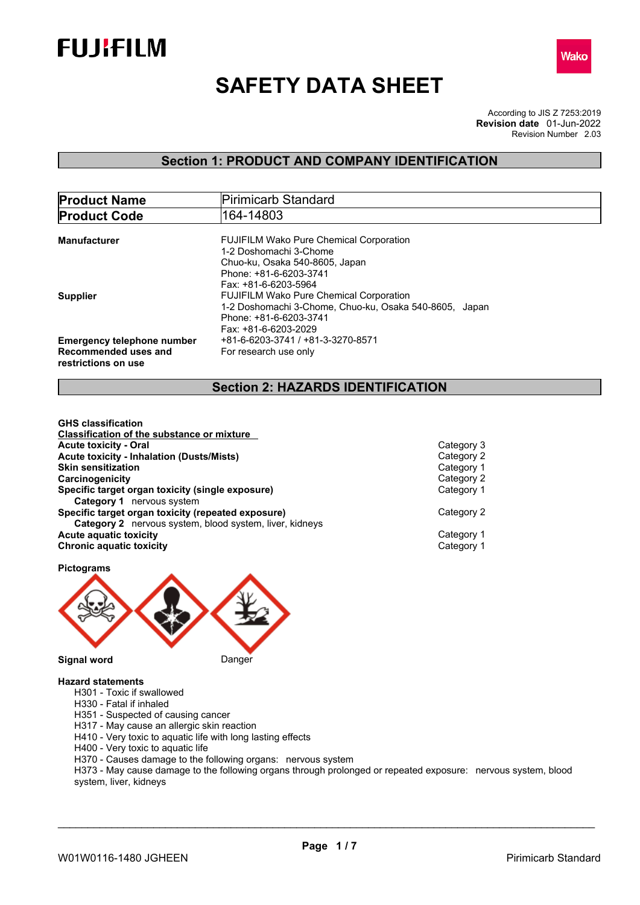



# **SAFETY DATA SHEET**

According to JIS Z 7253:2019 Revision Number 2.03 **Revision date** 01-Jun-2022

# **Section 1: PRODUCT AND COMPANY IDENTIFICATION**

| <b>Product Name</b>                                                              | Pirimicarb Standard                                                                                                                                          |  |  |
|----------------------------------------------------------------------------------|--------------------------------------------------------------------------------------------------------------------------------------------------------------|--|--|
| <b>Product Code</b>                                                              | 164-14803                                                                                                                                                    |  |  |
| Manufacturer                                                                     | <b>FUJIFILM Wako Pure Chemical Corporation</b><br>1-2 Doshomachi 3-Chome<br>Chuo-ku, Osaka 540-8605, Japan<br>Phone: +81-6-6203-3741<br>Fax: +81-6-6203-5964 |  |  |
| Supplier                                                                         | <b>FUJIFILM Wako Pure Chemical Corporation</b><br>1-2 Doshomachi 3-Chome, Chuo-ku, Osaka 540-8605, Japan<br>Phone: +81-6-6203-3741<br>Fax: +81-6-6203-2029   |  |  |
| <b>Emergency telephone number</b><br>Recommended uses and<br>restrictions on use | +81-6-6203-3741 / +81-3-3270-8571<br>For research use only                                                                                                   |  |  |

# **Section 2: HAZARDS IDENTIFICATION**

| <b>GHS classification</b>                                      |            |  |
|----------------------------------------------------------------|------------|--|
| Classification of the substance or mixture                     |            |  |
| <b>Acute toxicity - Oral</b>                                   | Category 3 |  |
| <b>Acute toxicity - Inhalation (Dusts/Mists)</b>               | Category 2 |  |
| <b>Skin sensitization</b>                                      | Category 1 |  |
| Carcinogenicity                                                | Category 2 |  |
| Specific target organ toxicity (single exposure)               | Category 1 |  |
| <b>Category 1</b> nervous system                               |            |  |
| Specific target organ toxicity (repeated exposure)             | Category 2 |  |
| <b>Category 2</b> nervous system, blood system, liver, kidneys |            |  |
| <b>Acute aquatic toxicity</b>                                  | Category 1 |  |
| <b>Chronic aquatic toxicity</b>                                | Category 1 |  |
|                                                                |            |  |

**Pictograms**



#### **Hazard statements**

- H301 Toxic if swallowed
- H330 Fatal if inhaled
- H351 Suspected of causing cancer
- H317 May cause an allergic skin reaction
- H410 Very toxic to aquatic life with long lasting effects
- H400 Very toxic to aquatic life
- H370 Causes damage to the following organs: nervous system

H373 - May cause damage to the following organs through prolonged or repeated exposure: nervous system, blood system, liver, kidneys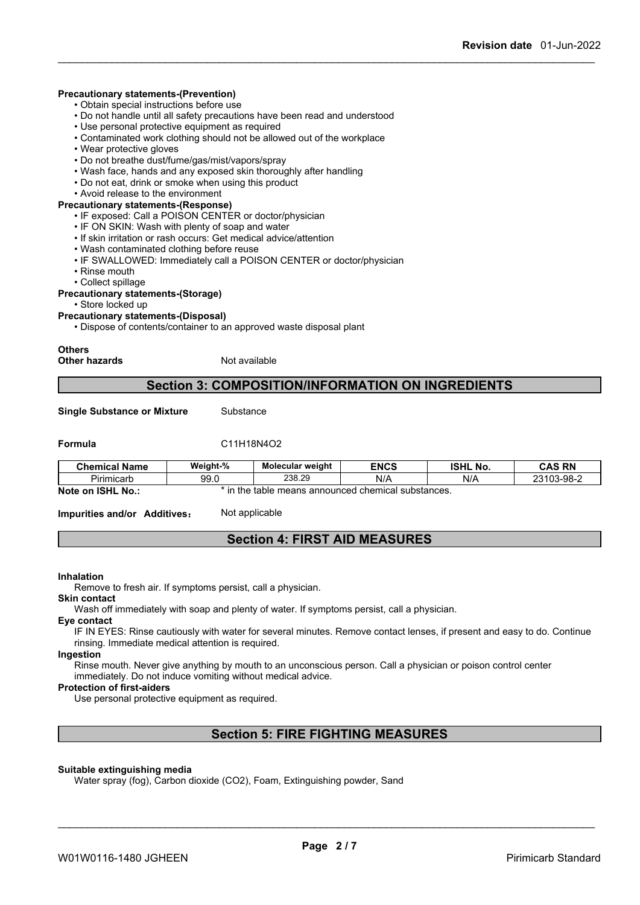### **Precautionary statements-(Prevention)**

- Obtain special instructions before use
- Do not handle until all safety precautions have been read and understood
- Use personal protective equipment as required
- Contaminated work clothing should not be allowed out of the workplace
- Wear protective gloves
- Do not breathe dust/fume/gas/mist/vapors/spray
- Wash face, hands and any exposed skin thoroughly after handling
- Do not eat, drink or smoke when using this product
- Avoid release to the environment

## **Precautionary statements-(Response)**

• IF exposed: Call a POISON CENTER or doctor/physician

- IF ON SKIN: Wash with plenty of soap and water
- If skin irritation or rash occurs: Get medical advice/attention
- Wash contaminated clothing before reuse
- IF SWALLOWED: Immediately call a POISON CENTER or doctor/physician
- Rinse mouth
- Collect spillage

#### **Precautionary statements-(Storage)**

• Store locked up

#### **Precautionary statements-(Disposal)**

• Dispose of contents/container to an approved waste disposal plant

# **Others**

**Other hazards** Not available

## **Section 3: COMPOSITION/INFORMATION ON INGREDIENTS**

**Single Substance or Mixture** Substance

#### **Formula** C11H18N4O2

| <b>Chemical Name</b> | Weight-%              | Molecular weight | <b>ENCS</b> | <b>ISHL</b><br>. NO. | <b>CAS DN</b><br>uma<br>-181        |
|----------------------|-----------------------|------------------|-------------|----------------------|-------------------------------------|
| - -<br>Pirimicart    | $\sim$<br>uv.<br>JJ.U | 238.29           | N/A         | N/F                  | 3-98-C<br>0.200<br>∠־טש<br>.<br>- U |
| .<br>- -             |                       |                  |             |                      |                                     |

**Note on ISHL No.:** \* in the table means announced chemical substances.

**Impurities and/or Additives:** Not applicable

# **Section 4: FIRST AID MEASURES**

#### **Inhalation**

Remove to fresh air. If symptoms persist, call a physician.

#### **Skin contact**

Wash off immediately with soap and plenty of water. If symptoms persist, call a physician.

### **Eye contact**

IF IN EYES: Rinse cautiously with water for several minutes. Remove contact lenses, if present and easy to do. Continue rinsing. Immediate medical attention is required.

#### **Ingestion**

Rinse mouth. Never give anything by mouth to an unconscious person. Call a physician or poison control center immediately. Do not induce vomiting without medical advice.

#### **Protection of first-aiders**

Use personal protective equipment as required.

# **Section 5: FIRE FIGHTING MEASURES**

#### **Suitable extinguishing media**

Water spray (fog), Carbon dioxide (CO2), Foam, Extinguishing powder, Sand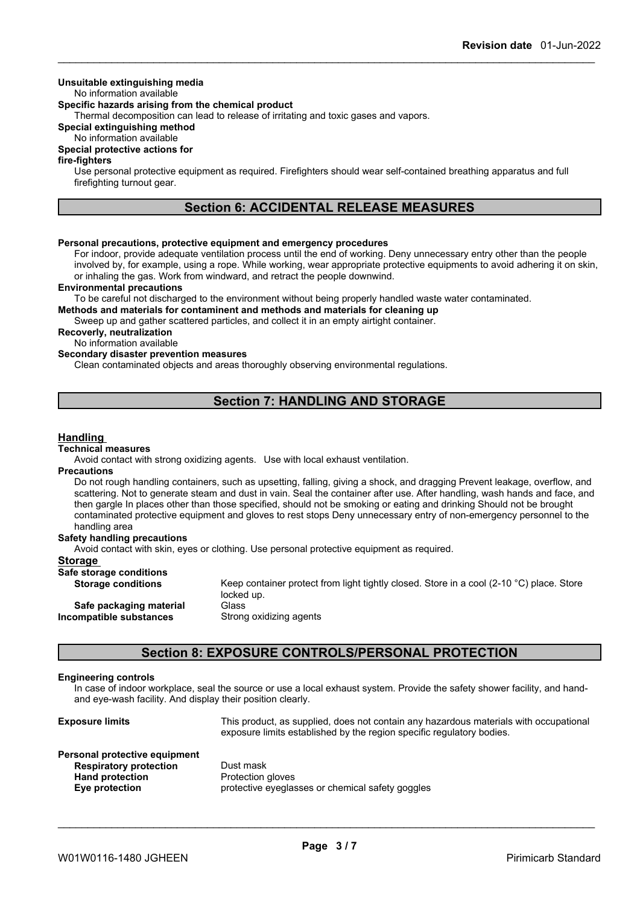### **Unsuitable extinguishing media**

#### No information available

### **Specific hazards arising from the chemical product**

Thermal decomposition can lead to release of irritating and toxic gases and vapors.

### **Special extinguishing method**

No information available

### **Special protective actions for**

#### **fire-fighters**

Use personal protective equipment as required. Firefighters should wear self-contained breathing apparatus and full firefighting turnout gear.

# **Section 6: ACCIDENTAL RELEASE MEASURES**

### **Personal precautions, protective equipment and emergency procedures**

For indoor, provide adequate ventilation process until the end of working. Deny unnecessary entry other than the people involved by, for example, using a rope. While working, wear appropriate protective equipments to avoid adhering it on skin, or inhaling the gas. Work from windward, and retract the people downwind.

### **Environmental precautions**

To be careful not discharged to the environment without being properly handled waste water contaminated.

**Methods and materials for contaminent and methods and materials for cleaning up**

Sweep up and gather scattered particles, and collect it in an empty airtight container.

#### **Recoverly, neutralization**

No information available

### **Secondary disaster prevention measures**

Clean contaminated objects and areas thoroughly observing environmental regulations.

# **Section 7: HANDLING AND STORAGE**

#### **Handling**

#### **Technical measures**

Avoid contact with strong oxidizing agents. Use with local exhaust ventilation.

#### **Precautions**

Do not rough handling containers, such as upsetting, falling, giving a shock, and dragging Prevent leakage, overflow, and scattering. Not to generate steam and dust in vain. Seal the container after use. After handling, wash hands and face, and then gargle In places other than those specified, should not be smoking or eating and drinking Should not be brought contaminated protective equipment and gloves to rest stops Deny unnecessary entry of non-emergency personnel to the handling area

### **Safety handling precautions**

Avoid contact with skin, eyes or clothing. Use personal protective equipment as required.

### **Storage**

| omado                                              |                                                                                                                  |
|----------------------------------------------------|------------------------------------------------------------------------------------------------------------------|
| Safe storage conditions                            |                                                                                                                  |
| <b>Storage conditions</b>                          | Keep container protect from light tightly closed. Store in a cool (2-10 $^{\circ}$ C) place. Store<br>locked up. |
| Safe packaging material<br>Incompatible substances | Glass<br>Strong oxidizing agents                                                                                 |
|                                                    |                                                                                                                  |

# **Section 8: EXPOSURE CONTROLS/PERSONAL PROTECTION**

#### **Engineering controls**

In case of indoor workplace, seal the source or use a local exhaust system. Provide the safety shower facility, and handand eye-wash facility. And display their position clearly.

| <b>Exposure limits</b>                                                                                     | This product, as supplied, does not contain any hazardous materials with occupational<br>exposure limits established by the region specific regulatory bodies. |
|------------------------------------------------------------------------------------------------------------|----------------------------------------------------------------------------------------------------------------------------------------------------------------|
| Personal protective equipment<br><b>Respiratory protection</b><br><b>Hand protection</b><br>Eye protection | Dust mask<br>Protection gloves<br>protective eyeglasses or chemical safety goggles                                                                             |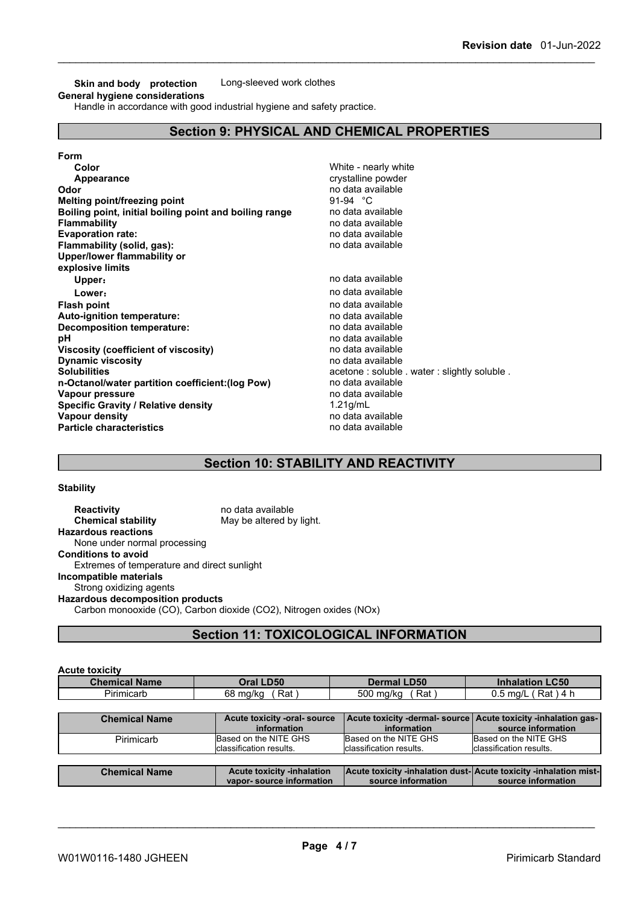**Skin and body protection** Long-sleeved work clothes **General hygiene considerations**

Handle in accordance with good industrial hygiene and safety practice.

# **Section 9: PHYSICAL AND CHEMICAL PROPERTIES**

| Form                                                   |                                              |
|--------------------------------------------------------|----------------------------------------------|
| Color                                                  | White - nearly white                         |
| Appearance                                             | crystalline powder                           |
| Odor                                                   | no data available                            |
| Melting point/freezing point                           | 91-94 °C                                     |
| Boiling point, initial boiling point and boiling range | no data available                            |
| <b>Flammability</b>                                    | no data available                            |
| <b>Evaporation rate:</b>                               | no data available                            |
| Flammability (solid, gas):                             | no data available                            |
| Upper/lower flammability or                            |                                              |
| explosive limits                                       |                                              |
| Upper:                                                 | no data available                            |
| Lower:                                                 | no data available                            |
| <b>Flash point</b>                                     | no data available                            |
| <b>Auto-ignition temperature:</b>                      | no data available                            |
| Decomposition temperature:                             | no data available                            |
| рH                                                     | no data available                            |
| Viscosity (coefficient of viscosity)                   | no data available                            |
| <b>Dynamic viscosity</b>                               | no data available                            |
| <b>Solubilities</b>                                    | acetone: soluble . water: slightly soluble . |
| n-Octanol/water partition coefficient: (log Pow)       | no data available                            |
| Vapour pressure                                        | no data available                            |
| <b>Specific Gravity / Relative density</b>             | $1.21$ g/mL                                  |
| Vapour density                                         | no data available                            |
| <b>Particle characteristics</b>                        | no data available                            |

# **Section 10: STABILITY AND REACTIVITY**

**Stability**

| <b>Reactivity</b>                           | no data available                                                  |
|---------------------------------------------|--------------------------------------------------------------------|
| <b>Chemical stability</b>                   | May be altered by light.                                           |
| <b>Hazardous reactions</b>                  |                                                                    |
| None under normal processing                |                                                                    |
| <b>Conditions to avoid</b>                  |                                                                    |
| Extremes of temperature and direct sunlight |                                                                    |
| Incompatible materials                      |                                                                    |
| Strong oxidizing agents                     |                                                                    |
| <b>Hazardous decomposition products</b>     |                                                                    |
|                                             | Carbon monooxide (CO), Carbon dioxide (CO2), Nitrogen oxides (NOx) |
|                                             |                                                                    |

# **Section 11: TOXICOLOGICAL INFORMATION**

| <b>Chemical Name</b> | Oral LD50                                   | Dermal LD50                                                                            | <b>Inhalation LC50</b>  |
|----------------------|---------------------------------------------|----------------------------------------------------------------------------------------|-------------------------|
| Pirimicarb           | Rat)<br>68 mg/kg                            | Rat)<br>500 mg/kg                                                                      | $0.5$ mg/L (Rat) 4 h    |
|                      |                                             |                                                                                        |                         |
| <b>Chemical Name</b> | Acute toxicity -oral- source<br>information | Acute toxicity -dermal- source   Acute toxicity -inhalation gas-  <br>information      | source information      |
| Pirimicarb           | Based on the NITE GHS                       | Based on the NITE GHS                                                                  | Based on the NITE GHS   |
|                      |                                             | Iclassification results.                                                               | classification results. |
|                      | Iclassification results.                    |                                                                                        |                         |
|                      |                                             |                                                                                        |                         |
| <b>Chemical Name</b> | <b>Acute toxicity -inhalation</b>           | Acute toxicity -inhalation dust-Acute toxicity -inhalation mist-<br>source information |                         |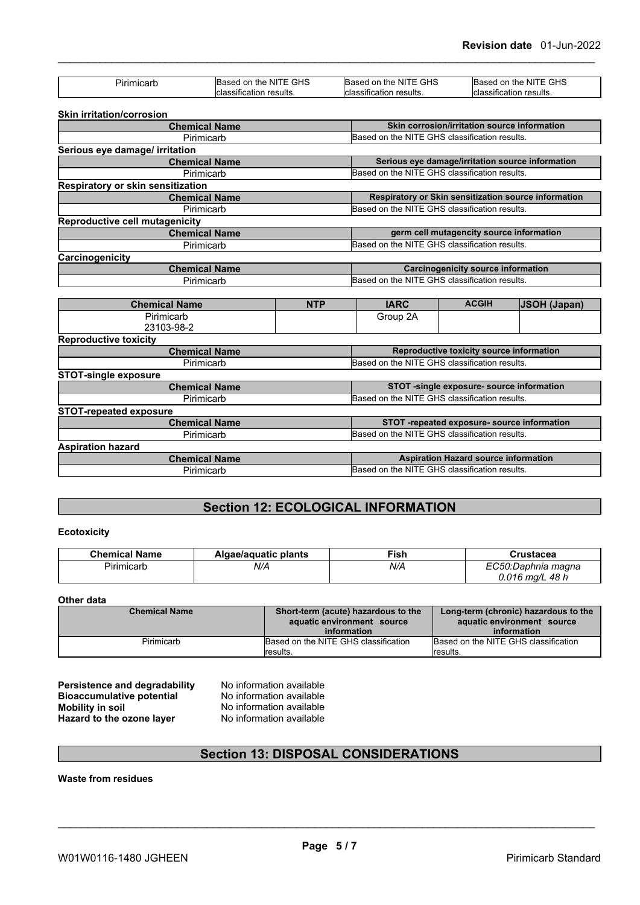| Pirimicarb                            | Based on the NITE GHS              | Based on the NITE GHS                         | Based on the NITE GHS                                |  |
|---------------------------------------|------------------------------------|-----------------------------------------------|------------------------------------------------------|--|
|                                       | classification results             | classification results.                       | <b>I</b> classification results.                     |  |
|                                       |                                    |                                               |                                                      |  |
| Skin irritation/corrosion             |                                    |                                               | Skin corrosion/irritation source information         |  |
| <b>Chemical Name</b><br>Pirimicarb    |                                    | Based on the NITE GHS classification results. |                                                      |  |
| Serious eye damage/ irritation        |                                    |                                               |                                                      |  |
|                                       | <b>Chemical Name</b>               |                                               | Serious eye damage/irritation source information     |  |
|                                       | Pirimicarb                         | Based on the NITE GHS classification results. |                                                      |  |
| Respiratory or skin sensitization     |                                    |                                               |                                                      |  |
|                                       | <b>Chemical Name</b>               |                                               | Respiratory or Skin sensitization source information |  |
|                                       | Pirimicarb                         | Based on the NITE GHS classification results. |                                                      |  |
| <b>Reproductive cell mutagenicity</b> |                                    |                                               |                                                      |  |
|                                       | <b>Chemical Name</b>               |                                               | germ cell mutagencity source information             |  |
|                                       | Pirimicarb                         |                                               | Based on the NITE GHS classification results.        |  |
| Carcinogenicity                       |                                    |                                               |                                                      |  |
|                                       | <b>Chemical Name</b>               |                                               | <b>Carcinogenicity source information</b>            |  |
| Pirimicarb                            |                                    | Based on the NITE GHS classification results. |                                                      |  |
|                                       | <b>NTP</b>                         | <b>IARC</b>                                   | <b>ACGIH</b>                                         |  |
| <b>Chemical Name</b><br>Pirimicarb    |                                    | Group 2A                                      | <b>JSOH (Japan)</b>                                  |  |
| 23103-98-2                            |                                    |                                               |                                                      |  |
| <b>Reproductive toxicity</b>          |                                    |                                               |                                                      |  |
|                                       | <b>Chemical Name</b>               |                                               | Reproductive toxicity source information             |  |
|                                       | Pirimicarb                         |                                               | Based on the NITE GHS classification results.        |  |
| <b>STOT-single exposure</b>           |                                    |                                               |                                                      |  |
|                                       | <b>Chemical Name</b>               | STOT -single exposure- source information     |                                                      |  |
|                                       | Pirimicarb                         |                                               | Based on the NITE GHS classification results.        |  |
| <b>STOT-repeated exposure</b>         |                                    |                                               |                                                      |  |
|                                       | <b>Chemical Name</b>               |                                               | STOT -repeated exposure- source information          |  |
|                                       | Pirimicarb                         |                                               | Based on the NITE GHS classification results.        |  |
| <b>Aspiration hazard</b>              |                                    |                                               |                                                      |  |
|                                       |                                    |                                               |                                                      |  |
|                                       | <b>Chemical Name</b><br>Pirimicarb | Based on the NITE GHS classification results. | <b>Aspiration Hazard source information</b>          |  |

# **Section 12: ECOLOGICAL INFORMATION**

### **Ecotoxicity**

| <b>Chemical Name</b> | Algae/aguatic plants | <b>Fish</b> | Crustacea                   |
|----------------------|----------------------|-------------|-----------------------------|
| Pirimicart           | N/A                  | N/A         | FOLD.<br>.C50:Daphnia magna |
|                      |                      |             | 0.016 mg/L 48 h             |

#### **Other data**

| <b>Chemical Name</b> | Short-term (acute) hazardous to the<br>aquatic environment source | Long-term (chronic) hazardous to the<br>aquatic environment source |
|----------------------|-------------------------------------------------------------------|--------------------------------------------------------------------|
|                      | information                                                       | information                                                        |
| Pirimicarb           | Based on the NITE GHS classification                              | Based on the NITE GHS classification                               |
|                      | lresults.                                                         | lresults.                                                          |

**Persistence and degradability** No information available **Bioaccumulative potential** No information available **Mobility in soil**<br> **Hazard to the ozone layer** No information available<br>
No information available **Hazard** to the ozone layer

# **Section 13: DISPOSAL CONSIDERATIONS**

**Waste from residues**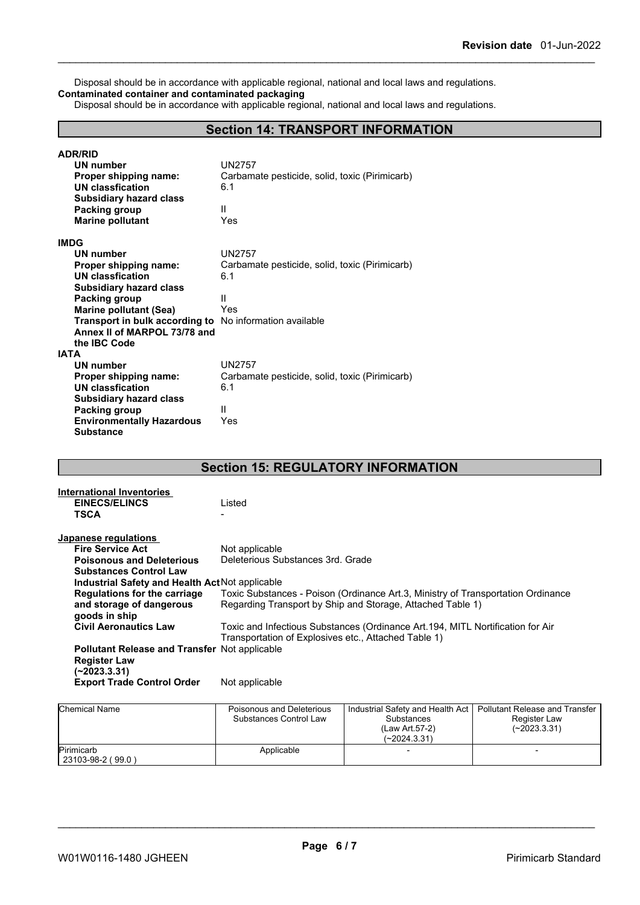Disposal should be in accordance with applicable regional, national and local laws and regulations. **Contaminated container and contaminated packaging**

Disposal should be in accordance with applicable regional, national and local laws and regulations.

# **Section 14: TRANSPORT INFORMATION**

| <b>ADR/RID</b><br>UN number<br>Proper shipping name:<br><b>UN classfication</b><br><b>Subsidiary hazard class</b><br>Packing group<br><b>Marine pollutant</b> | UN2757<br>Carbamate pesticide, solid, toxic (Pirimicarb)<br>6.1<br>Ш<br>Yes |
|---------------------------------------------------------------------------------------------------------------------------------------------------------------|-----------------------------------------------------------------------------|
| <b>IMDG</b>                                                                                                                                                   |                                                                             |
| UN number                                                                                                                                                     | <b>UN2757</b>                                                               |
| Proper shipping name:                                                                                                                                         | Carbamate pesticide, solid, toxic (Pirimicarb)                              |
| UN classfication                                                                                                                                              | 6.1                                                                         |
| <b>Subsidiary hazard class</b>                                                                                                                                |                                                                             |
| Packing group                                                                                                                                                 | Ш                                                                           |
| <b>Marine pollutant (Sea)</b>                                                                                                                                 | Yes                                                                         |
| Transport in bulk according to                                                                                                                                | No information available                                                    |
| Annex II of MARPOL 73/78 and                                                                                                                                  |                                                                             |
| the <b>IBC</b> Code<br><b>IATA</b>                                                                                                                            |                                                                             |
| <b>UN number</b>                                                                                                                                              | UN2757                                                                      |
| Proper shipping name:                                                                                                                                         | Carbamate pesticide, solid, toxic (Pirimicarb)                              |
| <b>UN classfication</b>                                                                                                                                       | 6.1                                                                         |
| <b>Subsidiary hazard class</b>                                                                                                                                |                                                                             |
| <b>Packing group</b>                                                                                                                                          | Ш                                                                           |
| <b>Environmentally Hazardous</b>                                                                                                                              | Yes                                                                         |
| <b>Substance</b>                                                                                                                                              |                                                                             |

# **Section 15: REGULATORY INFORMATION**

| <b>International Inventories</b>                     |                                                                                  |
|------------------------------------------------------|----------------------------------------------------------------------------------|
| <b>EINECS/ELINCS</b>                                 | Listed                                                                           |
| <b>TSCA</b>                                          |                                                                                  |
|                                                      |                                                                                  |
| Japanese regulations                                 |                                                                                  |
| <b>Fire Service Act</b>                              | Not applicable                                                                   |
| <b>Poisonous and Deleterious</b>                     | Deleterious Substances 3rd. Grade                                                |
| <b>Substances Control Law</b>                        |                                                                                  |
| Industrial Safety and Health Act Not applicable      |                                                                                  |
| <b>Regulations for the carriage</b>                  | Toxic Substances - Poison (Ordinance Art.3, Ministry of Transportation Ordinance |
| and storage of dangerous                             | Regarding Transport by Ship and Storage, Attached Table 1)                       |
| goods in ship                                        |                                                                                  |
| <b>Civil Aeronautics Law</b>                         | Toxic and Infectious Substances (Ordinance Art.194, MITL Nortification for Air   |
|                                                      | Transportation of Explosives etc., Attached Table 1)                             |
| <b>Pollutant Release and Transfer Not applicable</b> |                                                                                  |
| <b>Register Law</b>                                  |                                                                                  |
| (~2023.3.31)                                         |                                                                                  |
| <b>Export Trade Control Order</b>                    | Not applicable                                                                   |
|                                                      |                                                                                  |
|                                                      |                                                                                  |

| <b>Chemical Name</b>            | Poisonous and Deleterious<br>Substances Control Law | Industrial Safety and Health Act  <br><b>Substances</b><br>(Law Art.57-2)<br>$(-2024.3.31)$ | Pollutant Release and Transfer<br>Register Law<br>$(-2023.3.31)$ |  |
|---------------------------------|-----------------------------------------------------|---------------------------------------------------------------------------------------------|------------------------------------------------------------------|--|
| Pirimicarb<br>23103-98-2 (99.0) | Applicable                                          |                                                                                             |                                                                  |  |